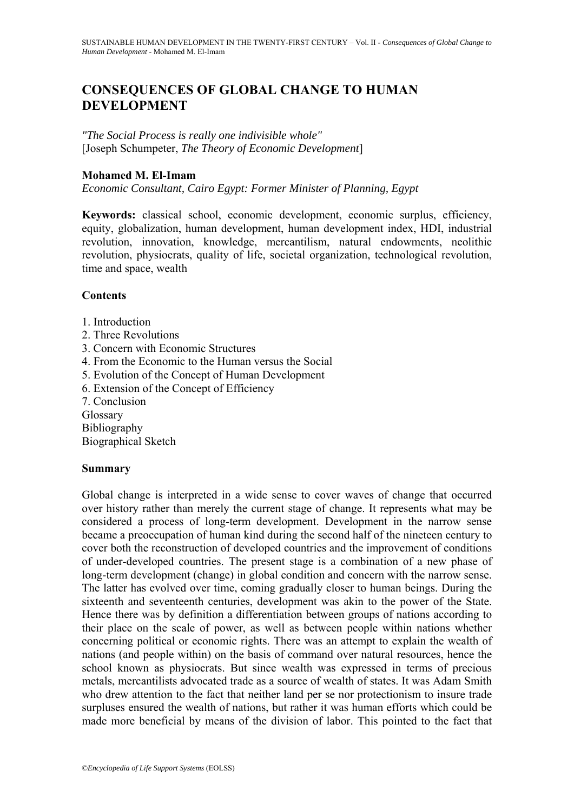# **CONSEQUENCES OF GLOBAL CHANGE TO HUMAN DEVELOPMENT**

*"The Social Process is really one indivisible whole"*  [Joseph Schumpeter, *The Theory of Economic Development*]

# **Mohamed M. El-Imam**

*Economic Consultant, Cairo Egypt: Former Minister of Planning, Egypt* 

**Keywords:** classical school, economic development, economic surplus, efficiency, equity, globalization, human development, human development index, HDI, industrial revolution, innovation, knowledge, mercantilism, natural endowments, neolithic revolution, physiocrats, quality of life, societal organization, technological revolution, time and space, wealth

#### **Contents**

- 1. Introduction
- 2. Three Revolutions
- 3. Concern with Economic Structures
- 4. From the Economic to the Human versus the Social
- 5. Evolution of the Concept of Human Development
- 6. Extension of the Concept of Efficiency
- 7. Conclusion

Glossary

Bibliography

Biographical Sketch

#### **Summary**

Global change is interpreted in a wide sense to cover waves of change that occurred over history rather than merely the current stage of change. It represents what may be considered a process of long-term development. Development in the narrow sense became a preoccupation of human kind during the second half of the nineteen century to cover both the reconstruction of developed countries and the improvement of conditions of under-developed countries. The present stage is a combination of a new phase of long-term development (change) in global condition and concern with the narrow sense. The latter has evolved over time, coming gradually closer to human beings. During the sixteenth and seventeenth centuries, development was akin to the power of the State. Hence there was by definition a differentiation between groups of nations according to their place on the scale of power, as well as between people within nations whether concerning political or economic rights. There was an attempt to explain the wealth of nations (and people within) on the basis of command over natural resources, hence the school known as physiocrats. But since wealth was expressed in terms of precious metals, mercantilists advocated trade as a source of wealth of states. It was Adam Smith who drew attention to the fact that neither land per se nor protectionism to insure trade surpluses ensured the wealth of nations, but rather it was human efforts which could be made more beneficial by means of the division of labor. This pointed to the fact that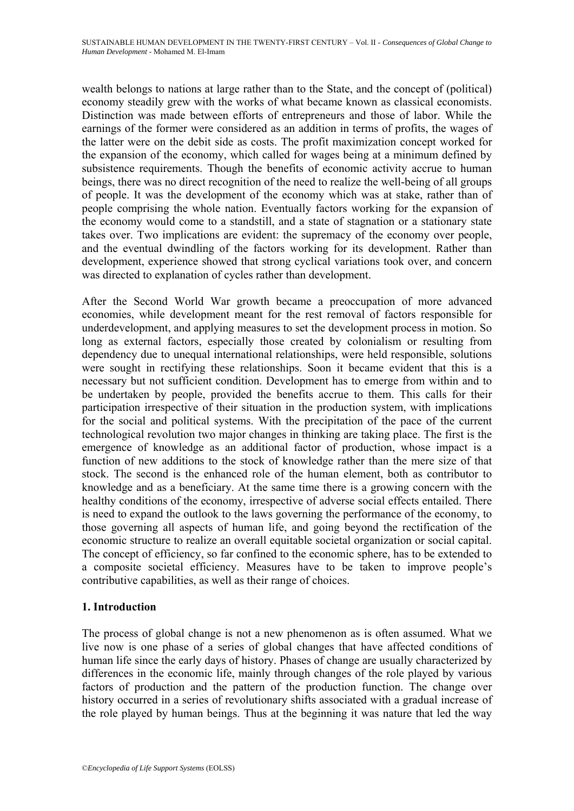wealth belongs to nations at large rather than to the State, and the concept of (political) economy steadily grew with the works of what became known as classical economists. Distinction was made between efforts of entrepreneurs and those of labor. While the earnings of the former were considered as an addition in terms of profits, the wages of the latter were on the debit side as costs. The profit maximization concept worked for the expansion of the economy, which called for wages being at a minimum defined by subsistence requirements. Though the benefits of economic activity accrue to human beings, there was no direct recognition of the need to realize the well-being of all groups of people. It was the development of the economy which was at stake, rather than of people comprising the whole nation. Eventually factors working for the expansion of the economy would come to a standstill, and a state of stagnation or a stationary state takes over. Two implications are evident: the supremacy of the economy over people, and the eventual dwindling of the factors working for its development. Rather than development, experience showed that strong cyclical variations took over, and concern was directed to explanation of cycles rather than development.

After the Second World War growth became a preoccupation of more advanced economies, while development meant for the rest removal of factors responsible for underdevelopment, and applying measures to set the development process in motion. So long as external factors, especially those created by colonialism or resulting from dependency due to unequal international relationships, were held responsible, solutions were sought in rectifying these relationships. Soon it became evident that this is a necessary but not sufficient condition. Development has to emerge from within and to be undertaken by people, provided the benefits accrue to them. This calls for their participation irrespective of their situation in the production system, with implications for the social and political systems. With the precipitation of the pace of the current technological revolution two major changes in thinking are taking place. The first is the emergence of knowledge as an additional factor of production, whose impact is a function of new additions to the stock of knowledge rather than the mere size of that stock. The second is the enhanced role of the human element, both as contributor to knowledge and as a beneficiary. At the same time there is a growing concern with the healthy conditions of the economy, irrespective of adverse social effects entailed. There is need to expand the outlook to the laws governing the performance of the economy, to those governing all aspects of human life, and going beyond the rectification of the economic structure to realize an overall equitable societal organization or social capital. The concept of efficiency, so far confined to the economic sphere, has to be extended to a composite societal efficiency. Measures have to be taken to improve people's contributive capabilities, as well as their range of choices.

# **1. Introduction**

The process of global change is not a new phenomenon as is often assumed. What we live now is one phase of a series of global changes that have affected conditions of human life since the early days of history. Phases of change are usually characterized by differences in the economic life, mainly through changes of the role played by various factors of production and the pattern of the production function. The change over history occurred in a series of revolutionary shifts associated with a gradual increase of the role played by human beings. Thus at the beginning it was nature that led the way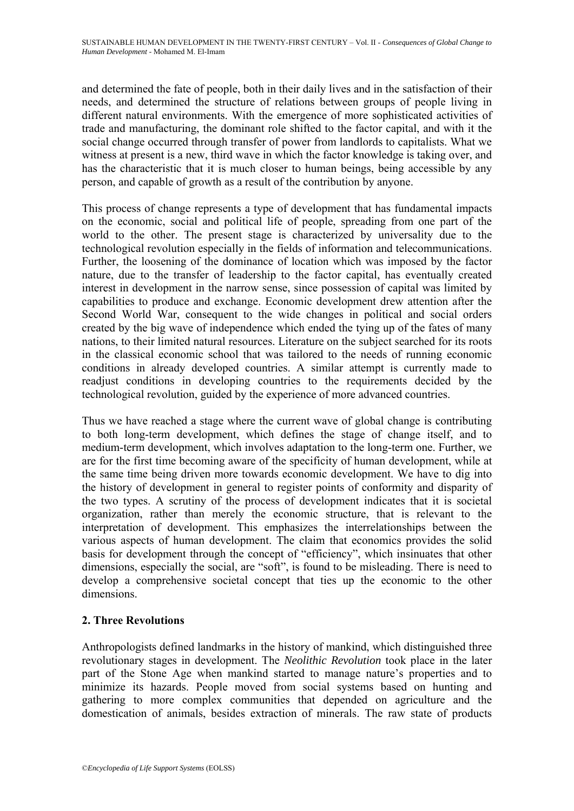and determined the fate of people, both in their daily lives and in the satisfaction of their needs, and determined the structure of relations between groups of people living in different natural environments. With the emergence of more sophisticated activities of trade and manufacturing, the dominant role shifted to the factor capital, and with it the social change occurred through transfer of power from landlords to capitalists. What we witness at present is a new, third wave in which the factor knowledge is taking over, and has the characteristic that it is much closer to human beings, being accessible by any person, and capable of growth as a result of the contribution by anyone.

This process of change represents a type of development that has fundamental impacts on the economic, social and political life of people, spreading from one part of the world to the other. The present stage is characterized by universality due to the technological revolution especially in the fields of information and telecommunications. Further, the loosening of the dominance of location which was imposed by the factor nature, due to the transfer of leadership to the factor capital, has eventually created interest in development in the narrow sense, since possession of capital was limited by capabilities to produce and exchange. Economic development drew attention after the Second World War, consequent to the wide changes in political and social orders created by the big wave of independence which ended the tying up of the fates of many nations, to their limited natural resources. Literature on the subject searched for its roots in the classical economic school that was tailored to the needs of running economic conditions in already developed countries. A similar attempt is currently made to readjust conditions in developing countries to the requirements decided by the technological revolution, guided by the experience of more advanced countries.

Thus we have reached a stage where the current wave of global change is contributing to both long-term development, which defines the stage of change itself, and to medium-term development, which involves adaptation to the long-term one. Further, we are for the first time becoming aware of the specificity of human development, while at the same time being driven more towards economic development. We have to dig into the history of development in general to register points of conformity and disparity of the two types. A scrutiny of the process of development indicates that it is societal organization, rather than merely the economic structure, that is relevant to the interpretation of development. This emphasizes the interrelationships between the various aspects of human development. The claim that economics provides the solid basis for development through the concept of "efficiency", which insinuates that other dimensions, especially the social, are "soft", is found to be misleading. There is need to develop a comprehensive societal concept that ties up the economic to the other dimensions.

# **2. Three Revolutions**

Anthropologists defined landmarks in the history of mankind, which distinguished three revolutionary stages in development. The *Neolithic Revolution* took place in the later part of the Stone Age when mankind started to manage nature's properties and to minimize its hazards. People moved from social systems based on hunting and gathering to more complex communities that depended on agriculture and the domestication of animals, besides extraction of minerals. The raw state of products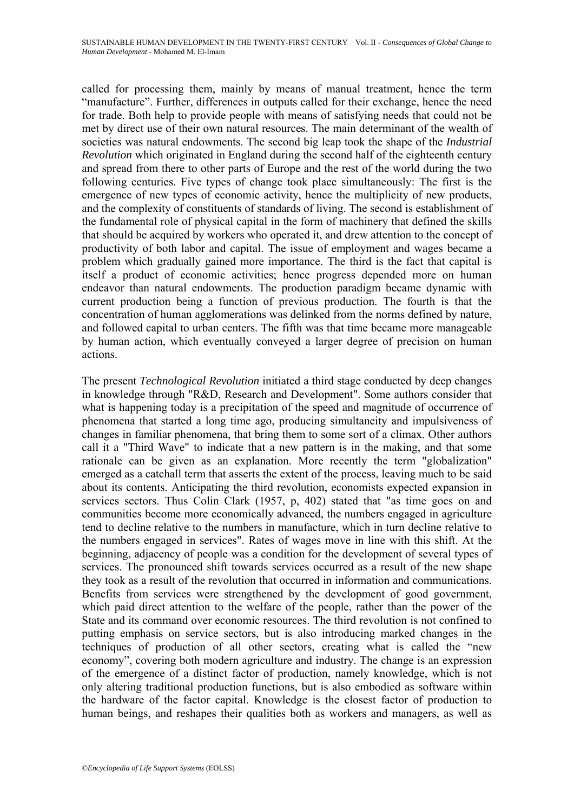called for processing them, mainly by means of manual treatment, hence the term "manufacture". Further, differences in outputs called for their exchange, hence the need for trade. Both help to provide people with means of satisfying needs that could not be met by direct use of their own natural resources. The main determinant of the wealth of societies was natural endowments. The second big leap took the shape of the *Industrial Revolution* which originated in England during the second half of the eighteenth century and spread from there to other parts of Europe and the rest of the world during the two following centuries. Five types of change took place simultaneously: The first is the emergence of new types of economic activity, hence the multiplicity of new products, and the complexity of constituents of standards of living. The second is establishment of the fundamental role of physical capital in the form of machinery that defined the skills that should be acquired by workers who operated it, and drew attention to the concept of productivity of both labor and capital. The issue of employment and wages became a problem which gradually gained more importance. The third is the fact that capital is itself a product of economic activities; hence progress depended more on human endeavor than natural endowments. The production paradigm became dynamic with current production being a function of previous production. The fourth is that the concentration of human agglomerations was delinked from the norms defined by nature, and followed capital to urban centers. The fifth was that time became more manageable by human action, which eventually conveyed a larger degree of precision on human actions.

The present *Technological Revolution* initiated a third stage conducted by deep changes in knowledge through "R&D, Research and Development". Some authors consider that what is happening today is a precipitation of the speed and magnitude of occurrence of phenomena that started a long time ago, producing simultaneity and impulsiveness of changes in familiar phenomena, that bring them to some sort of a climax. Other authors call it a "Third Wave" to indicate that a new pattern is in the making, and that some rationale can be given as an explanation. More recently the term "globalization" emerged as a catchall term that asserts the extent of the process, leaving much to be said about its contents. Anticipating the third revolution, economists expected expansion in services sectors. Thus Colin Clark (1957, p, 402) stated that "as time goes on and communities become more economically advanced, the numbers engaged in agriculture tend to decline relative to the numbers in manufacture, which in turn decline relative to the numbers engaged in services". Rates of wages move in line with this shift. At the beginning, adjacency of people was a condition for the development of several types of services. The pronounced shift towards services occurred as a result of the new shape they took as a result of the revolution that occurred in information and communications. Benefits from services were strengthened by the development of good government, which paid direct attention to the welfare of the people, rather than the power of the State and its command over economic resources. The third revolution is not confined to putting emphasis on service sectors, but is also introducing marked changes in the techniques of production of all other sectors, creating what is called the "new economy", covering both modern agriculture and industry. The change is an expression of the emergence of a distinct factor of production, namely knowledge, which is not only altering traditional production functions, but is also embodied as software within the hardware of the factor capital. Knowledge is the closest factor of production to human beings, and reshapes their qualities both as workers and managers, as well as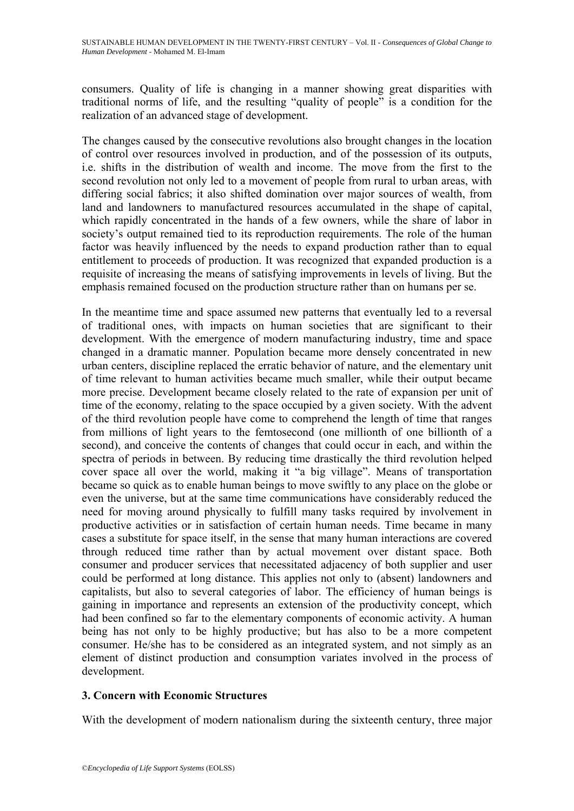consumers. Quality of life is changing in a manner showing great disparities with traditional norms of life, and the resulting "quality of people" is a condition for the realization of an advanced stage of development.

The changes caused by the consecutive revolutions also brought changes in the location of control over resources involved in production, and of the possession of its outputs, i.e. shifts in the distribution of wealth and income. The move from the first to the second revolution not only led to a movement of people from rural to urban areas, with differing social fabrics; it also shifted domination over major sources of wealth, from land and landowners to manufactured resources accumulated in the shape of capital, which rapidly concentrated in the hands of a few owners, while the share of labor in society's output remained tied to its reproduction requirements. The role of the human factor was heavily influenced by the needs to expand production rather than to equal entitlement to proceeds of production. It was recognized that expanded production is a requisite of increasing the means of satisfying improvements in levels of living. But the emphasis remained focused on the production structure rather than on humans per se.

In the meantime time and space assumed new patterns that eventually led to a reversal of traditional ones, with impacts on human societies that are significant to their development. With the emergence of modern manufacturing industry, time and space changed in a dramatic manner. Population became more densely concentrated in new urban centers, discipline replaced the erratic behavior of nature, and the elementary unit of time relevant to human activities became much smaller, while their output became more precise. Development became closely related to the rate of expansion per unit of time of the economy, relating to the space occupied by a given society. With the advent of the third revolution people have come to comprehend the length of time that ranges from millions of light years to the femtosecond (one millionth of one billionth of a second), and conceive the contents of changes that could occur in each, and within the spectra of periods in between. By reducing time drastically the third revolution helped cover space all over the world, making it "a big village". Means of transportation became so quick as to enable human beings to move swiftly to any place on the globe or even the universe, but at the same time communications have considerably reduced the need for moving around physically to fulfill many tasks required by involvement in productive activities or in satisfaction of certain human needs. Time became in many cases a substitute for space itself, in the sense that many human interactions are covered through reduced time rather than by actual movement over distant space. Both consumer and producer services that necessitated adjacency of both supplier and user could be performed at long distance. This applies not only to (absent) landowners and capitalists, but also to several categories of labor. The efficiency of human beings is gaining in importance and represents an extension of the productivity concept, which had been confined so far to the elementary components of economic activity. A human being has not only to be highly productive; but has also to be a more competent consumer. He/she has to be considered as an integrated system, and not simply as an element of distinct production and consumption variates involved in the process of development.

# **3. Concern with Economic Structures**

With the development of modern nationalism during the sixteenth century, three major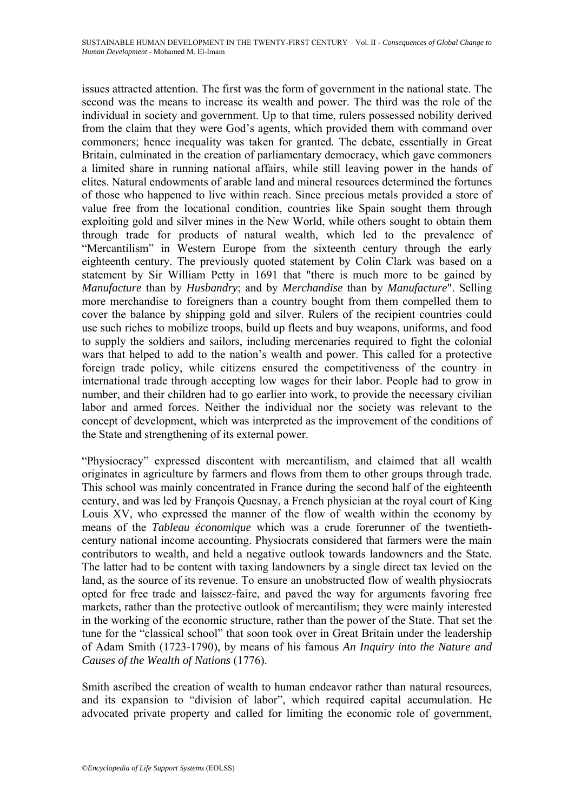issues attracted attention. The first was the form of government in the national state. The second was the means to increase its wealth and power. The third was the role of the individual in society and government. Up to that time, rulers possessed nobility derived from the claim that they were God's agents, which provided them with command over commoners; hence inequality was taken for granted. The debate, essentially in Great Britain, culminated in the creation of parliamentary democracy, which gave commoners a limited share in running national affairs, while still leaving power in the hands of elites. Natural endowments of arable land and mineral resources determined the fortunes of those who happened to live within reach. Since precious metals provided a store of value free from the locational condition, countries like Spain sought them through exploiting gold and silver mines in the New World, while others sought to obtain them through trade for products of natural wealth, which led to the prevalence of "Mercantilism" in Western Europe from the sixteenth century through the early eighteenth century. The previously quoted statement by Colin Clark was based on a statement by Sir William Petty in 1691 that "there is much more to be gained by *Manufacture* than by *Husbandry*; and by *Merchandise* than by *Manufacture*". Selling more merchandise to foreigners than a country bought from them compelled them to cover the balance by shipping gold and silver. Rulers of the recipient countries could use such riches to mobilize troops, build up fleets and buy weapons, uniforms, and food to supply the soldiers and sailors, including mercenaries required to fight the colonial wars that helped to add to the nation's wealth and power. This called for a protective foreign trade policy, while citizens ensured the competitiveness of the country in international trade through accepting low wages for their labor. People had to grow in number, and their children had to go earlier into work, to provide the necessary civilian labor and armed forces. Neither the individual nor the society was relevant to the concept of development, which was interpreted as the improvement of the conditions of the State and strengthening of its external power.

"Physiocracy" expressed discontent with mercantilism, and claimed that all wealth originates in agriculture by farmers and flows from them to other groups through trade. This school was mainly concentrated in France during the second half of the eighteenth century, and was led by François Quesnay, a French physician at the royal court of King Louis XV, who expressed the manner of the flow of wealth within the economy by means of the *Tableau économique* which was a crude forerunner of the twentiethcentury national income accounting. Physiocrats considered that farmers were the main contributors to wealth, and held a negative outlook towards landowners and the State. The latter had to be content with taxing landowners by a single direct tax levied on the land, as the source of its revenue. To ensure an unobstructed flow of wealth physiocrats opted for free trade and laissez-faire, and paved the way for arguments favoring free markets, rather than the protective outlook of mercantilism; they were mainly interested in the working of the economic structure, rather than the power of the State. That set the tune for the "classical school" that soon took over in Great Britain under the leadership of Adam Smith (1723-1790), by means of his famous *An Inquiry into the Nature and Causes of the Wealth of Nations* (1776).

Smith ascribed the creation of wealth to human endeavor rather than natural resources, and its expansion to "division of labor", which required capital accumulation. He advocated private property and called for limiting the economic role of government,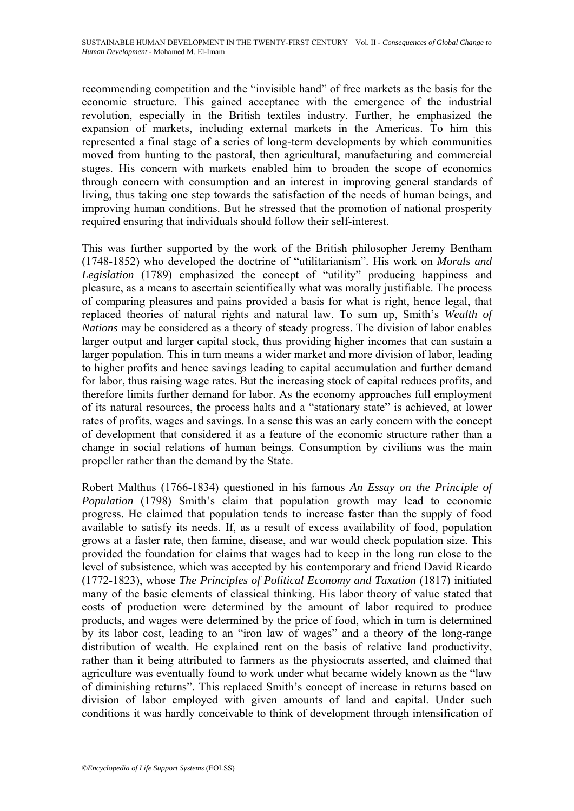recommending competition and the "invisible hand" of free markets as the basis for the economic structure. This gained acceptance with the emergence of the industrial revolution, especially in the British textiles industry. Further, he emphasized the expansion of markets, including external markets in the Americas. To him this represented a final stage of a series of long-term developments by which communities moved from hunting to the pastoral, then agricultural, manufacturing and commercial stages. His concern with markets enabled him to broaden the scope of economics through concern with consumption and an interest in improving general standards of living, thus taking one step towards the satisfaction of the needs of human beings, and improving human conditions. But he stressed that the promotion of national prosperity required ensuring that individuals should follow their self-interest.

This was further supported by the work of the British philosopher Jeremy Bentham (1748-1852) who developed the doctrine of "utilitarianism". His work on *Morals and Legislation* (1789) emphasized the concept of "utility" producing happiness and pleasure, as a means to ascertain scientifically what was morally justifiable. The process of comparing pleasures and pains provided a basis for what is right, hence legal, that replaced theories of natural rights and natural law. To sum up, Smith's *Wealth of Nations* may be considered as a theory of steady progress. The division of labor enables larger output and larger capital stock, thus providing higher incomes that can sustain a larger population. This in turn means a wider market and more division of labor, leading to higher profits and hence savings leading to capital accumulation and further demand for labor, thus raising wage rates. But the increasing stock of capital reduces profits, and therefore limits further demand for labor. As the economy approaches full employment of its natural resources, the process halts and a "stationary state" is achieved, at lower rates of profits, wages and savings. In a sense this was an early concern with the concept of development that considered it as a feature of the economic structure rather than a change in social relations of human beings. Consumption by civilians was the main propeller rather than the demand by the State.

Robert Malthus (1766-1834) questioned in his famous *An Essay on the Principle of Population* (1798) Smith's claim that population growth may lead to economic progress. He claimed that population tends to increase faster than the supply of food available to satisfy its needs. If, as a result of excess availability of food, population grows at a faster rate, then famine, disease, and war would check population size. This provided the foundation for claims that wages had to keep in the long run close to the level of subsistence, which was accepted by his contemporary and friend David Ricardo (1772-1823), whose *The Principles of Political Economy and Taxation* (1817) initiated many of the basic elements of classical thinking. His labor theory of value stated that costs of production were determined by the amount of labor required to produce products, and wages were determined by the price of food, which in turn is determined by its labor cost, leading to an "iron law of wages" and a theory of the long-range distribution of wealth. He explained rent on the basis of relative land productivity, rather than it being attributed to farmers as the physiocrats asserted, and claimed that agriculture was eventually found to work under what became widely known as the "law of diminishing returns". This replaced Smith's concept of increase in returns based on division of labor employed with given amounts of land and capital. Under such conditions it was hardly conceivable to think of development through intensification of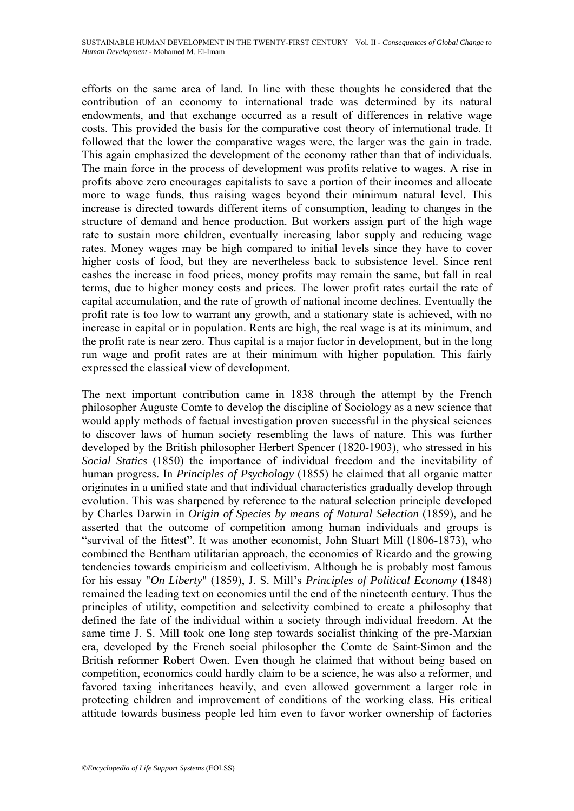efforts on the same area of land. In line with these thoughts he considered that the contribution of an economy to international trade was determined by its natural endowments, and that exchange occurred as a result of differences in relative wage costs. This provided the basis for the comparative cost theory of international trade. It followed that the lower the comparative wages were, the larger was the gain in trade. This again emphasized the development of the economy rather than that of individuals. The main force in the process of development was profits relative to wages. A rise in profits above zero encourages capitalists to save a portion of their incomes and allocate more to wage funds, thus raising wages beyond their minimum natural level. This increase is directed towards different items of consumption, leading to changes in the structure of demand and hence production. But workers assign part of the high wage rate to sustain more children, eventually increasing labor supply and reducing wage rates. Money wages may be high compared to initial levels since they have to cover higher costs of food, but they are nevertheless back to subsistence level. Since rent cashes the increase in food prices, money profits may remain the same, but fall in real terms, due to higher money costs and prices. The lower profit rates curtail the rate of capital accumulation, and the rate of growth of national income declines. Eventually the profit rate is too low to warrant any growth, and a stationary state is achieved, with no increase in capital or in population. Rents are high, the real wage is at its minimum, and the profit rate is near zero. Thus capital is a major factor in development, but in the long run wage and profit rates are at their minimum with higher population. This fairly expressed the classical view of development.

The next important contribution came in 1838 through the attempt by the French philosopher Auguste Comte to develop the discipline of Sociology as a new science that would apply methods of factual investigation proven successful in the physical sciences to discover laws of human society resembling the laws of nature. This was further developed by the British philosopher Herbert Spencer (1820-1903), who stressed in his *Social Statics* (1850) the importance of individual freedom and the inevitability of human progress. In *Principles of Psychology* (1855) he claimed that all organic matter originates in a unified state and that individual characteristics gradually develop through evolution. This was sharpened by reference to the natural selection principle developed by Charles Darwin in *Origin of Species by means of Natural Selection* (1859), and he asserted that the outcome of competition among human individuals and groups is "survival of the fittest". It was another economist, John Stuart Mill (1806-1873), who combined the Bentham utilitarian approach, the economics of Ricardo and the growing tendencies towards empiricism and collectivism. Although he is probably most famous for his essay "*On Liberty*" (1859), J. S. Mill's *Principles of Political Economy* (1848) remained the leading text on economics until the end of the nineteenth century. Thus the principles of utility, competition and selectivity combined to create a philosophy that defined the fate of the individual within a society through individual freedom. At the same time J. S. Mill took one long step towards socialist thinking of the pre-Marxian era, developed by the French social philosopher the Comte de Saint-Simon and the British reformer Robert Owen. Even though he claimed that without being based on competition, economics could hardly claim to be a science, he was also a reformer, and favored taxing inheritances heavily, and even allowed government a larger role in protecting children and improvement of conditions of the working class. His critical attitude towards business people led him even to favor worker ownership of factories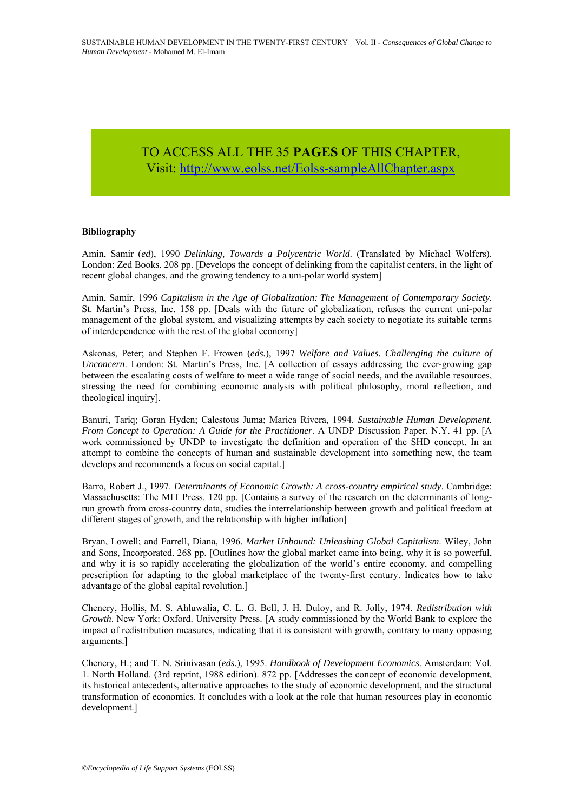address all members of the society.

#### **Utilitarianism:** The philosophy that actions are right if they tend to produce the  $CESS ALL THE 35 PAGES OF THIS CHAPTER,$ Vis[it: http://www.eolss.net/Eolss-sampleAllChapter.aspx](https://www.eolss.net/ebooklib/sc_cart.aspx?File=E6-60-04)

of production beyond what is acquired through intrinsic actual  $\sigma$ 

#### **Bibliography**

Amin, Samir (*ed*), 1990 *Delinking, Towards a Polycentric World*. (Translated by Michael Wolfers). London: Zed Books. 208 pp. [Develops the concept of delinking from the capitalist centers, in the light of recent global changes, and the growing tendency to a uni-polar world system]

 $\mathcal{X}=\mathcal{X}=\mathcal{X}=\mathcal{X}=\mathcal{X}=\mathcal{X}=\mathcal{X}=\mathcal{X}=\mathcal{X}=\mathcal{X}=\mathcal{X}=\mathcal{X}=\mathcal{X}=\mathcal{X}=\mathcal{X}=\mathcal{X}=\mathcal{X}=\mathcal{X}=\mathcal{X}=\mathcal{X}=\mathcal{X}=\mathcal{X}=\mathcal{X}=\mathcal{X}=\mathcal{X}=\mathcal{X}=\mathcal{X}=\mathcal{X}=\mathcal{X}=\mathcal{X}=\mathcal{X}=\mathcal{X}=\mathcal{X}=\mathcal{X}=\mathcal{X}=\mathcal{X}=\mathcal{X$ 

Amin, Samir, 1996 *Capitalism in the Age of Globalization: The Management of Contemporary Society*. St. Martin's Press, Inc. 158 pp. [Deals with the future of globalization, refuses the current uni-polar management of the global system, and visualizing attempts by each society to negotiate its suitable terms of interdependence with the rest of the global economy]

Askonas, Peter; and Stephen F. Frowen (*eds.*), 1997 *Welfare and Values. Challenging the culture of Unconcern*. London: St. Martin's Press, Inc. [A collection of essays addressing the ever-growing gap between the escalating costs of welfare to meet a wide range of social needs, and the available resources, stressing the need for combining economic analysis with political philosophy, moral reflection, and theological inquiry].

Banuri, Tariq; Goran Hyden; Calestous Juma; Marica Rivera, 1994. *Sustainable Human Development. From Concept to Operation: A Guide for the Practitioner*. A UNDP Discussion Paper. N.Y. 41 pp. [A work commissioned by UNDP to investigate the definition and operation of the SHD concept. In an attempt to combine the concepts of human and sustainable development into something new, the team develops and recommends a focus on social capital.]

Barro, Robert J., 1997. *Determinants of Economic Growth: A cross-country empirical study*. Cambridge: Massachusetts: The MIT Press. 120 pp. [Contains a survey of the research on the determinants of longrun growth from cross-country data, studies the interrelationship between growth and political freedom at different stages of growth, and the relationship with higher inflation]

Bryan, Lowell; and Farrell, Diana, 1996. *Market Unbound: Unleashing Global Capitalism*. Wiley, John and Sons, Incorporated. 268 pp. [Outlines how the global market came into being, why it is so powerful, and why it is so rapidly accelerating the globalization of the world's entire economy, and compelling prescription for adapting to the global marketplace of the twenty-first century. Indicates how to take advantage of the global capital revolution.] **FO** ACCESS ALL THE 35 **PAGES** OF THIS CHAPTER,<br>Visit, http://www.golss.net/Eolss-sampleAllChapter.aspx<br>Anim, Samil (ed.), 1990 Delivising. Towards a Polycentric World. (It<br>main of Life Support Support Support Support (Co

Chenery, Hollis, M. S. Ahluwalia, C. L. G. Bell, J. H. Duloy, and R. Jolly, 1974. *Redistribution with Growth*. New York: Oxford. University Press. [A study commissioned by the World Bank to explore the impact of redistribution measures, indicating that it is consistent with growth, contrary to many opposing arguments.]

Chenery, H.; and T. N. Srinivasan (*eds.*), 1995. *Handbook of Development Economics*. Amsterdam: Vol. 1. North Holland. (3rd reprint, 1988 edition). 872 pp. [Addresses the concept of economic development, its historical antecedents, alternative approaches to the study of economic development, and the structural transformation of economics. It concludes with a look at the role that human resources play in economic development.]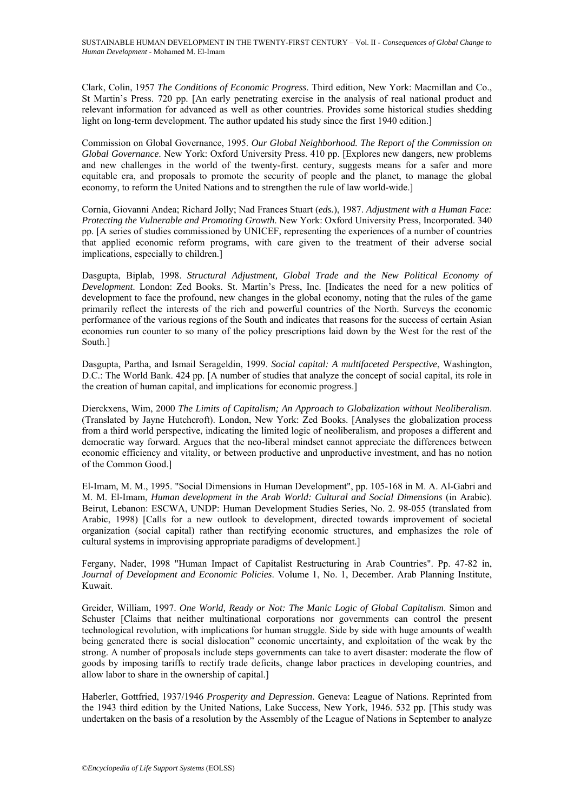Clark, Colin, 1957 *The Conditions of Economic Progress*. Third edition, New York: Macmillan and Co., St Martin's Press. 720 pp. [An early penetrating exercise in the analysis of real national product and relevant information for advanced as well as other countries. Provides some historical studies shedding light on long-term development. The author updated his study since the first 1940 edition.]

Commission on Global Governance, 1995. *Our Global Neighborhood. The Report of the Commission on Global Governance*. New York: Oxford University Press. 410 pp. [Explores new dangers, new problems and new challenges in the world of the twenty-first. century, suggests means for a safer and more equitable era, and proposals to promote the security of people and the planet, to manage the global economy, to reform the United Nations and to strengthen the rule of law world-wide.]

Cornia, Giovanni Andea; Richard Jolly; Nad Frances Stuart (*eds.*), 1987. *Adjustment with a Human Face: Protecting the Vulnerable and Promoting Growth*. New York: Oxford University Press, Incorporated. 340 pp. [A series of studies commissioned by UNICEF, representing the experiences of a number of countries that applied economic reform programs, with care given to the treatment of their adverse social implications, especially to children.]

Dasgupta, Biplab, 1998. *Structural Adjustment, Global Trade and the New Political Economy of Development*. London: Zed Books. St. Martin's Press, Inc. [Indicates the need for a new politics of development to face the profound, new changes in the global economy, noting that the rules of the game primarily reflect the interests of the rich and powerful countries of the North. Surveys the economic performance of the various regions of the South and indicates that reasons for the success of certain Asian economies run counter to so many of the policy prescriptions laid down by the West for the rest of the South.]

Dasgupta, Partha, and Ismail Serageldin, 1999. *Social capital: A multifaceted Perspective*, Washington, D.C.: The World Bank. 424 pp. [A number of studies that analyze the concept of social capital, its role in the creation of human capital, and implications for economic progress.]

Dierckxens, Wim, 2000 *The Limits of Capitalism; An Approach to Globalization without Neoliberalism*. (Translated by Jayne Hutchcroft). London, New York: Zed Books. [Analyses the globalization process from a third world perspective, indicating the limited logic of neoliberalism, and proposes a different and democratic way forward. Argues that the neo-liberal mindset cannot appreciate the differences between economic efficiency and vitality, or between productive and unproductive investment, and has no notion of the Common Good.]

El-Imam, M. M., 1995. "Social Dimensions in Human Development", pp. 105-168 in M. A. Al-Gabri and M. M. El-Imam, *Human development in the Arab World: Cultural and Social Dimensions* (in Arabic). Beirut, Lebanon: ESCWA, UNDP: Human Development Studies Series, No. 2. 98-055 (translated from Arabic, 1998) [Calls for a new outlook to development, directed towards improvement of societal organization (social capital) rather than rectifying economic structures, and emphasizes the role of cultural systems in improvising appropriate paradigms of development.]

Fergany, Nader, 1998 "Human Impact of Capitalist Restructuring in Arab Countries". Pp. 47-82 in, *Journal of Development and Economic Policies*. Volume 1, No. 1, December. Arab Planning Institute, Kuwait.

Greider, William, 1997. *One World, Ready or Not: The Manic Logic of Global Capitalism*. Simon and Schuster [Claims that neither multinational corporations nor governments can control the present technological revolution, with implications for human struggle. Side by side with huge amounts of wealth being generated there is social dislocation" economic uncertainty, and exploitation of the weak by the strong. A number of proposals include steps governments can take to avert disaster: moderate the flow of goods by imposing tariffs to rectify trade deficits, change labor practices in developing countries, and allow labor to share in the ownership of capital.]

Haberler, Gottfried, 1937/1946 *Prosperity and Depression*. Geneva: League of Nations. Reprinted from the 1943 third edition by the United Nations, Lake Success, New York, 1946. 532 pp. [This study was undertaken on the basis of a resolution by the Assembly of the League of Nations in September to analyze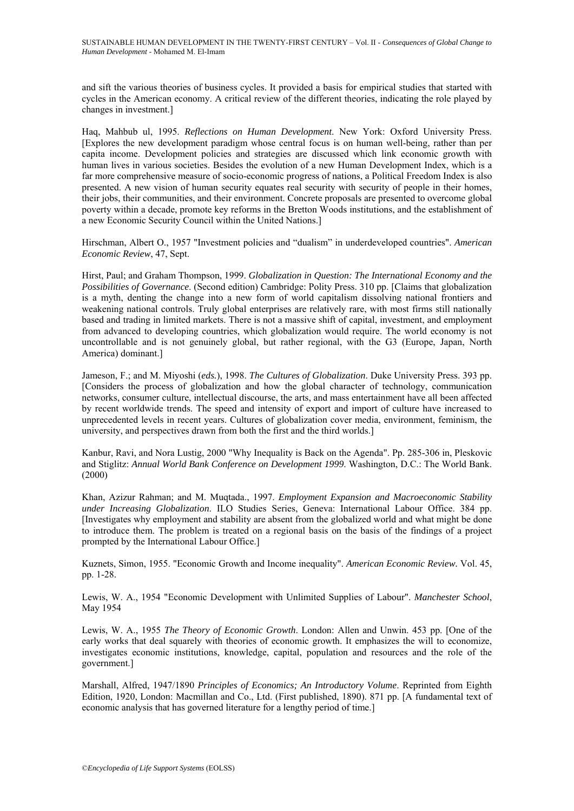and sift the various theories of business cycles. It provided a basis for empirical studies that started with cycles in the American economy. A critical review of the different theories, indicating the role played by changes in investment.]

Haq, Mahbub ul, 1995. *Reflections on Human Development*. New York: Oxford University Press. [Explores the new development paradigm whose central focus is on human well-being, rather than per capita income. Development policies and strategies are discussed which link economic growth with human lives in various societies. Besides the evolution of a new Human Development Index, which is a far more comprehensive measure of socio-economic progress of nations, a Political Freedom Index is also presented. A new vision of human security equates real security with security of people in their homes, their jobs, their communities, and their environment. Concrete proposals are presented to overcome global poverty within a decade, promote key reforms in the Bretton Woods institutions, and the establishment of a new Economic Security Council within the United Nations.]

Hirschman, Albert O., 1957 "Investment policies and "dualism" in underdeveloped countries". *American Economic Review*, 47, Sept.

Hirst, Paul; and Graham Thompson, 1999. *Globalization in Question: The International Economy and the Possibilities of Governance*. (Second edition) Cambridge: Polity Press. 310 pp. [Claims that globalization is a myth, denting the change into a new form of world capitalism dissolving national frontiers and weakening national controls. Truly global enterprises are relatively rare, with most firms still nationally based and trading in limited markets. There is not a massive shift of capital, investment, and employment from advanced to developing countries, which globalization would require. The world economy is not uncontrollable and is not genuinely global, but rather regional, with the G3 (Europe, Japan, North America) dominant.]

Jameson, F.; and M. Miyoshi (*eds.*), 1998. *The Cultures of Globalization*. Duke University Press. 393 pp. [Considers the process of globalization and how the global character of technology, communication networks, consumer culture, intellectual discourse, the arts, and mass entertainment have all been affected by recent worldwide trends. The speed and intensity of export and import of culture have increased to unprecedented levels in recent years. Cultures of globalization cover media, environment, feminism, the university, and perspectives drawn from both the first and the third worlds.]

Kanbur, Ravi, and Nora Lustig, 2000 "Why Inequality is Back on the Agenda". Pp. 285-306 in, Pleskovic and Stiglitz: *Annual World Bank Conference on Development 1999*. Washington, D.C.: The World Bank. (2000)

Khan, Azizur Rahman; and M. Muqtada., 1997. *Employment Expansion and Macroeconomic Stability under Increasing Globalization*. ILO Studies Series, Geneva: International Labour Office. 384 pp. [Investigates why employment and stability are absent from the globalized world and what might be done to introduce them. The problem is treated on a regional basis on the basis of the findings of a project prompted by the International Labour Office.]

Kuznets, Simon, 1955. "Economic Growth and Income inequality". *American Economic Review.* Vol. 45, pp. 1-28.

Lewis, W. A., 1954 "Economic Development with Unlimited Supplies of Labour". *Manchester School*, May 1954

Lewis, W. A., 1955 *The Theory of Economic Growth*. London: Allen and Unwin. 453 pp. [One of the early works that deal squarely with theories of economic growth. It emphasizes the will to economize, investigates economic institutions, knowledge, capital, population and resources and the role of the government.]

Marshall, Alfred, 1947/1890 *Principles of Economics; An Introductory Volume*. Reprinted from Eighth Edition, 1920, London: Macmillan and Co., Ltd. (First published, 1890). 871 pp. [A fundamental text of economic analysis that has governed literature for a lengthy period of time.]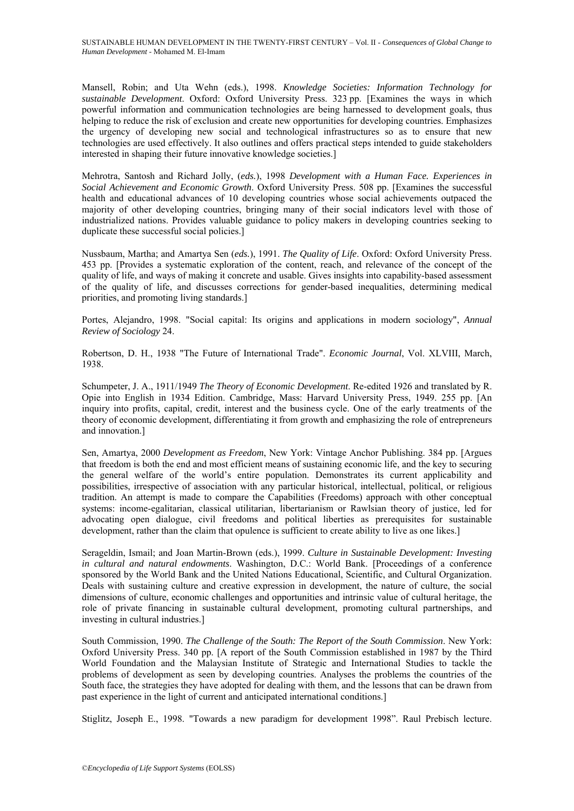Mansell, Robin; and Uta Wehn (eds.), 1998. *Knowledge Societies: Information Technology for sustainable Development*. Oxford: Oxford University Press. 323 pp. [Examines the ways in which powerful information and communication technologies are being harnessed to development goals, thus helping to reduce the risk of exclusion and create new opportunities for developing countries. Emphasizes the urgency of developing new social and technological infrastructures so as to ensure that new technologies are used effectively. It also outlines and offers practical steps intended to guide stakeholders interested in shaping their future innovative knowledge societies.]

Mehrotra, Santosh and Richard Jolly, (*eds.*), 1998 *Development with a Human Face. Experiences in Social Achievement and Economic Growth*. Oxford University Press. 508 pp. [Examines the successful health and educational advances of 10 developing countries whose social achievements outpaced the majority of other developing countries, bringing many of their social indicators level with those of industrialized nations. Provides valuable guidance to policy makers in developing countries seeking to duplicate these successful social policies.]

Nussbaum, Martha; and Amartya Sen (*eds.*), 1991. *The Quality of Life*. Oxford: Oxford University Press. 453 pp. [Provides a systematic exploration of the content, reach, and relevance of the concept of the quality of life, and ways of making it concrete and usable. Gives insights into capability-based assessment of the quality of life, and discusses corrections for gender-based inequalities, determining medical priorities, and promoting living standards.]

Portes, Alejandro, 1998. "Social capital: Its origins and applications in modern sociology", *Annual Review of Sociology* 24.

Robertson, D. H., 1938 "The Future of International Trade". *Economic Journal*, Vol. XLVIII, March, 1938.

Schumpeter, J. A., 1911/1949 *The Theory of Economic Development*. Re-edited 1926 and translated by R. Opie into English in 1934 Edition. Cambridge, Mass: Harvard University Press, 1949. 255 pp. [An inquiry into profits, capital, credit, interest and the business cycle. One of the early treatments of the theory of economic development, differentiating it from growth and emphasizing the role of entrepreneurs and innovation.]

Sen, Amartya, 2000 *Development as Freedom*, New York: Vintage Anchor Publishing. 384 pp. [Argues that freedom is both the end and most efficient means of sustaining economic life, and the key to securing the general welfare of the world's entire population. Demonstrates its current applicability and possibilities, irrespective of association with any particular historical, intellectual, political, or religious tradition. An attempt is made to compare the Capabilities (Freedoms) approach with other conceptual systems: income-egalitarian, classical utilitarian, libertarianism or Rawlsian theory of justice, led for advocating open dialogue, civil freedoms and political liberties as prerequisites for sustainable development, rather than the claim that opulence is sufficient to create ability to live as one likes.]

Serageldin, Ismail; and Joan Martin-Brown (eds.), 1999. *Culture in Sustainable Development: Investing in cultural and natural endowments*. Washington, D.C.: World Bank. [Proceedings of a conference sponsored by the World Bank and the United Nations Educational, Scientific, and Cultural Organization. Deals with sustaining culture and creative expression in development, the nature of culture, the social dimensions of culture, economic challenges and opportunities and intrinsic value of cultural heritage, the role of private financing in sustainable cultural development, promoting cultural partnerships, and investing in cultural industries.]

South Commission, 1990. *The Challenge of the South: The Report of the South Commission*. New York: Oxford University Press. 340 pp. [A report of the South Commission established in 1987 by the Third World Foundation and the Malaysian Institute of Strategic and International Studies to tackle the problems of development as seen by developing countries. Analyses the problems the countries of the South face, the strategies they have adopted for dealing with them, and the lessons that can be drawn from past experience in the light of current and anticipated international conditions.]

Stiglitz, Joseph E., 1998. "Towards a new paradigm for development 1998". Raul Prebisch lecture.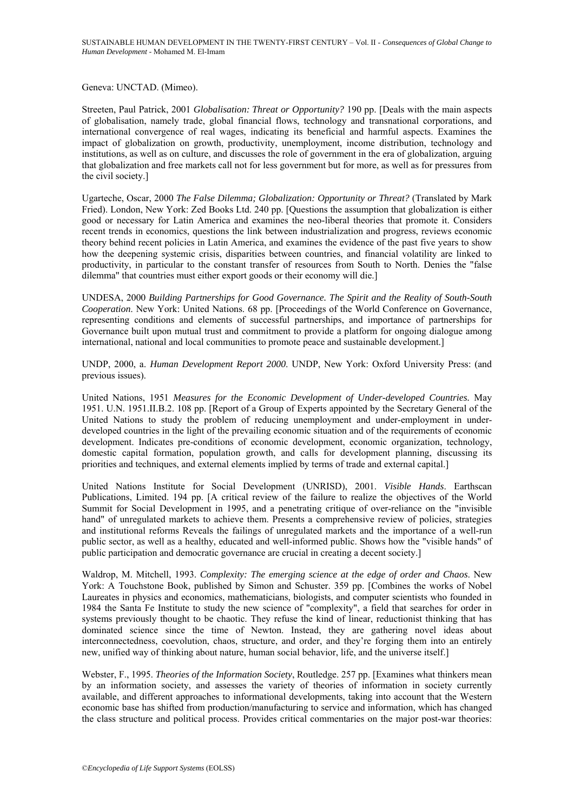Geneva: UNCTAD. (Mimeo).

Streeten, Paul Patrick, 2001 *Globalisation: Threat or Opportunity?* 190 pp. [Deals with the main aspects of globalisation, namely trade, global financial flows, technology and transnational corporations, and international convergence of real wages, indicating its beneficial and harmful aspects. Examines the impact of globalization on growth, productivity, unemployment, income distribution, technology and institutions, as well as on culture, and discusses the role of government in the era of globalization, arguing that globalization and free markets call not for less government but for more, as well as for pressures from the civil society.]

Ugarteche, Oscar, 2000 *The False Dilemma; Globalization: Opportunity or Threat?* (Translated by Mark Fried). London, New York: Zed Books Ltd. 240 pp. [Questions the assumption that globalization is either good or necessary for Latin America and examines the neo-liberal theories that promote it. Considers recent trends in economics, questions the link between industrialization and progress, reviews economic theory behind recent policies in Latin America, and examines the evidence of the past five years to show how the deepening systemic crisis, disparities between countries, and financial volatility are linked to productivity, in particular to the constant transfer of resources from South to North. Denies the "false dilemma" that countries must either export goods or their economy will die.]

UNDESA, 2000 *Building Partnerships for Good Governance. The Spirit and the Reality of South-South Cooperation*. New York: United Nations. 68 pp. [Proceedings of the World Conference on Governance, representing conditions and elements of successful partnerships, and importance of partnerships for Governance built upon mutual trust and commitment to provide a platform for ongoing dialogue among international, national and local communities to promote peace and sustainable development.]

UNDP, 2000, a. *Human Development Report 2000*. UNDP, New York: Oxford University Press: (and previous issues).

United Nations, 1951 *Measures for the Economic Development of Under-developed Countries.* May 1951. U.N. 1951.II.B.2. 108 pp. [Report of a Group of Experts appointed by the Secretary General of the United Nations to study the problem of reducing unemployment and under-employment in underdeveloped countries in the light of the prevailing economic situation and of the requirements of economic development. Indicates pre-conditions of economic development, economic organization, technology, domestic capital formation, population growth, and calls for development planning, discussing its priorities and techniques, and external elements implied by terms of trade and external capital.]

United Nations Institute for Social Development (UNRISD), 2001. *Visible Hands*. Earthscan Publications, Limited. 194 pp. [A critical review of the failure to realize the objectives of the World Summit for Social Development in 1995, and a penetrating critique of over-reliance on the "invisible hand" of unregulated markets to achieve them. Presents a comprehensive review of policies, strategies and institutional reforms Reveals the failings of unregulated markets and the importance of a well-run public sector, as well as a healthy, educated and well-informed public. Shows how the "visible hands" of public participation and democratic governance are crucial in creating a decent society.]

Waldrop, M. Mitchell, 1993. *Complexity: The emerging science at the edge of order and Chaos*. New York: A Touchstone Book, published by Simon and Schuster. 359 pp. [Combines the works of Nobel Laureates in physics and economics, mathematicians, biologists, and computer scientists who founded in 1984 the Santa Fe Institute to study the new science of "complexity", a field that searches for order in systems previously thought to be chaotic. They refuse the kind of linear, reductionist thinking that has dominated science since the time of Newton. Instead, they are gathering novel ideas about interconnectedness, coevolution, chaos, structure, and order, and they're forging them into an entirely new, unified way of thinking about nature, human social behavior, life, and the universe itself.]

Webster, F., 1995. *Theories of the Information Society*, Routledge. 257 pp. [Examines what thinkers mean by an information society, and assesses the variety of theories of information in society currently available, and different approaches to informational developments, taking into account that the Western economic base has shifted from production/manufacturing to service and information, which has changed the class structure and political process. Provides critical commentaries on the major post-war theories: